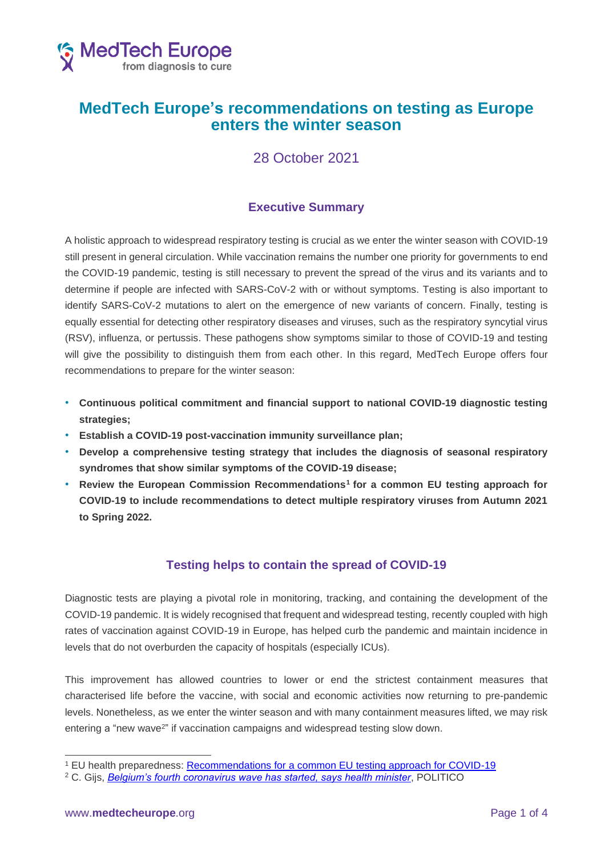

# **MedTech Europe's recommendations on testing as Europe enters the winter season**

# 28 October 2021

## **Executive Summary**

A holistic approach to widespread respiratory testing is crucial as we enter the winter season with COVID-19 still present in general circulation. While vaccination remains the number one priority for governments to end the COVID-19 pandemic, testing is still necessary to prevent the spread of the virus and its variants and to determine if people are infected with SARS-CoV-2 with or without symptoms. Testing is also important to identify SARS-CoV-2 mutations to alert on the emergence of new variants of concern. Finally, testing is equally essential for detecting other respiratory diseases and viruses, such as the respiratory syncytial virus (RSV), influenza, or pertussis. These pathogens show symptoms similar to those of COVID-19 and testing will give the possibility to distinguish them from each other. In this regard, MedTech Europe offers four recommendations to prepare for the winter season:

- **Continuous political commitment and financial support to national COVID-19 diagnostic testing strategies;**
- **Establish a COVID-19 post-vaccination immunity surveillance plan;**
- **Develop a comprehensive testing strategy that includes the diagnosis of seasonal respiratory syndromes that show similar symptoms of the COVID-19 disease;**
- **Review the European Commission Recommendations<sup>1</sup> for a common EU testing approach for COVID-19 to include recommendations to detect multiple respiratory viruses from Autumn 2021 to Spring 2022.**

## **Testing helps to contain the spread of COVID-19**

Diagnostic tests are playing a pivotal role in monitoring, tracking, and containing the development of the COVID-19 pandemic. It is widely recognised that frequent and widespread testing, recently coupled with high rates of vaccination against COVID-19 in Europe, has helped curb the pandemic and maintain incidence in levels that do not overburden the capacity of hospitals (especially ICUs).

This improvement has allowed countries to lower or end the strictest containment measures that characterised life before the vaccine, with social and economic activities now returning to pre-pandemic levels. Nonetheless, as we enter the winter season and with many containment measures lifted, we may risk entering a "new wave<sup>2</sup>" if vaccination campaigns and widespread testing slow down.

<sup>1</sup> EU health preparedness: [Recommendations for a common EU testing approach for COVID-19](https://ec.europa.eu/health/sites/default/files/preparedness_response/docs/common_testingapproach_covid-19_en.pdf)

<sup>2</sup> C. Gijs, *[Belgium's fourth coronavirus wave has started, says health minister](https://www.politico.eu/article/belgium-entering-fourth-wave-of-coronavirus-warns-health-minister/)*, POLITICO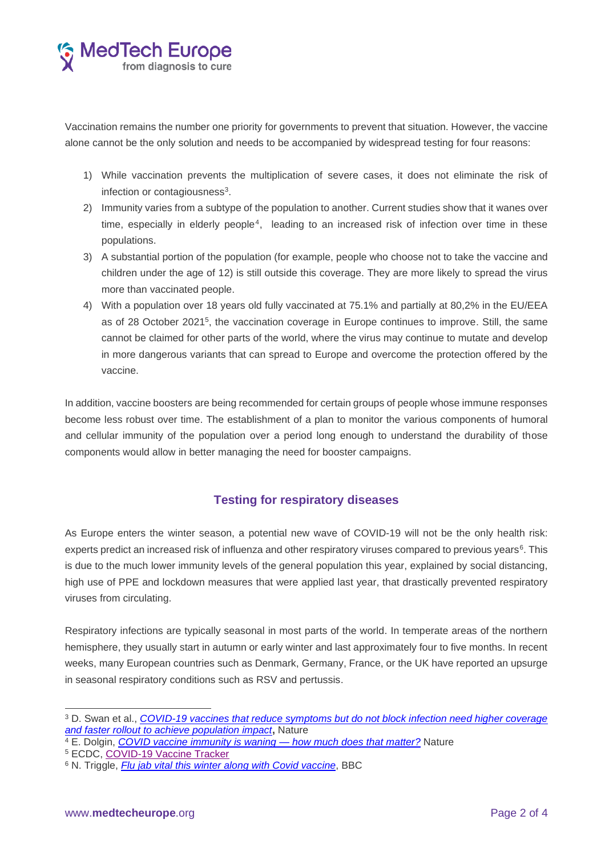

Vaccination remains the number one priority for governments to prevent that situation. However, the vaccine alone cannot be the only solution and needs to be accompanied by widespread testing for four reasons:

- 1) While vaccination prevents the multiplication of severe cases, it does not eliminate the risk of infection or contagiousness<sup>3</sup>.
- 2) Immunity varies from a subtype of the population to another. Current studies show that it wanes over time, especially in elderly people<sup>4</sup>, leading to an increased risk of infection over time in these populations.
- 3) A substantial portion of the population (for example, people who choose not to take the vaccine and children under the age of 12) is still outside this coverage. They are more likely to spread the virus more than vaccinated people.
- 4) With a population over 18 years old fully vaccinated at 75.1% and partially at 80,2% in the EU/EEA as of 28 October 2021<sup>5</sup> , the vaccination coverage in Europe continues to improve. Still, the same cannot be claimed for other parts of the world, where the virus may continue to mutate and develop in more dangerous variants that can spread to Europe and overcome the protection offered by the vaccine.

In addition, vaccine boosters are being recommended for certain groups of people whose immune responses become less robust over time. The establishment of a plan to monitor the various components of humoral and cellular immunity of the population over a period long enough to understand the durability of those components would allow in better managing the need for booster campaigns.

#### **Testing for respiratory diseases**

As Europe enters the winter season, a potential new wave of COVID-19 will not be the only health risk: experts predict an increased risk of influenza and other respiratory viruses compared to previous years<sup>6</sup>. This is due to the much lower immunity levels of the general population this year, explained by social distancing, high use of PPE and lockdown measures that were applied last year, that drastically prevented respiratory viruses from circulating.

Respiratory infections are typically seasonal in most parts of the world. In temperate areas of the northern hemisphere, they usually start in autumn or early winter and last approximately four to five months. In recent weeks, many European countries such as Denmark, Germany, France, or the UK have reported an upsurge in seasonal respiratory conditions such as RSV and pertussis.

<sup>3</sup> D. Swan et al., *[COVID-19 vaccines that reduce symptoms but do not block infection need higher coverage](https://www.nature.com/articles/s41598-021-94719-y)  [and faster rollout to achieve population impact](https://www.nature.com/articles/s41598-021-94719-y)***,** Nature

<sup>4</sup> E. Dolgin, *[COVID vaccine immunity is waning —](https://www.nature.com/articles/d41586-021-02532-4) how much does that matter?* Nature

<sup>5</sup> ECDC, [COVID-19 Vaccine Tracker](https://vaccinetracker.ecdc.europa.eu/public/extensions/COVID-19/vaccine-tracker.html#uptake-tab)

<sup>6</sup> N. Triggle, *[Flu jab vital this winter along with Covid vaccine](https://www.bbc.com/news/health-58836218)*, BBC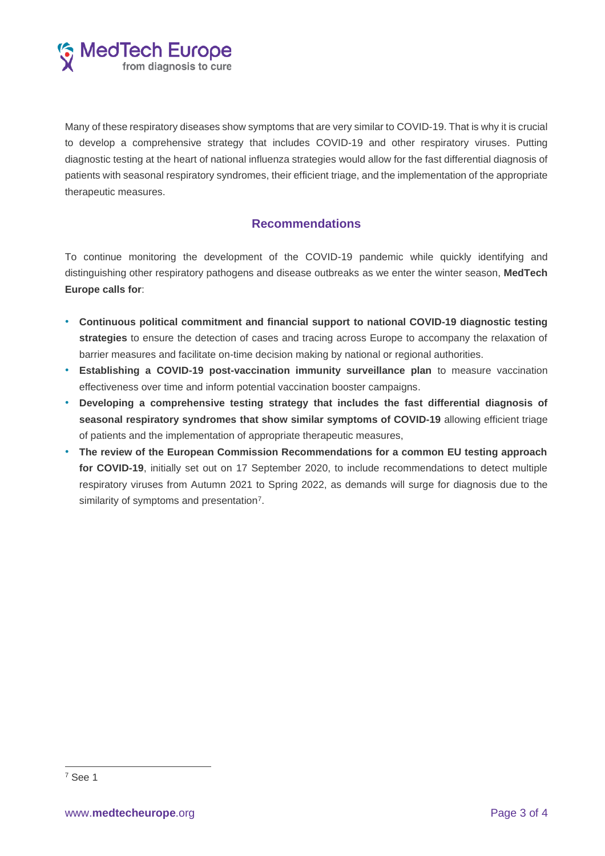

Many of these respiratory diseases show symptoms that are very similar to COVID-19. That is why it is crucial to develop a comprehensive strategy that includes COVID-19 and other respiratory viruses. Putting diagnostic testing at the heart of national influenza strategies would allow for the fast differential diagnosis of patients with seasonal respiratory syndromes, their efficient triage, and the implementation of the appropriate therapeutic measures.

### **Recommendations**

To continue monitoring the development of the COVID-19 pandemic while quickly identifying and distinguishing other respiratory pathogens and disease outbreaks as we enter the winter season, **MedTech Europe calls for**:

- **Continuous political commitment and financial support to national COVID-19 diagnostic testing strategies** to ensure the detection of cases and tracing across Europe to accompany the relaxation of barrier measures and facilitate on-time decision making by national or regional authorities.
- **Establishing a COVID-19 post-vaccination immunity surveillance plan** to measure vaccination effectiveness over time and inform potential vaccination booster campaigns.
- **Developing a comprehensive testing strategy that includes the fast differential diagnosis of seasonal respiratory syndromes that show similar symptoms of COVID-19** allowing efficient triage of patients and the implementation of appropriate therapeutic measures,
- **The review of the European Commission Recommendations for a common EU testing approach for COVID-19**, initially set out on 17 September 2020, to include recommendations to detect multiple respiratory viruses from Autumn 2021 to Spring 2022, as demands will surge for diagnosis due to the similarity of symptoms and presentation<sup>7</sup>.

<sup>7</sup> See 1